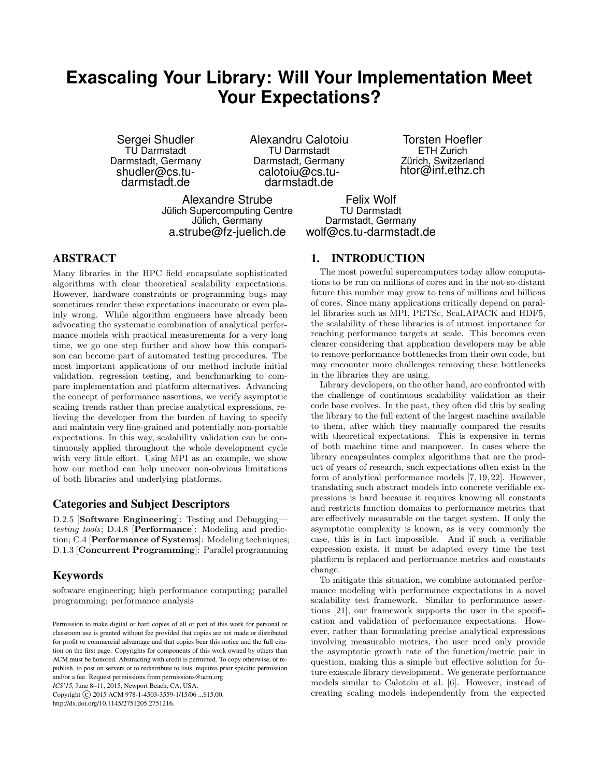# **Exascaling Your Library: Will Your Implementation Meet Your Expectations?**

Sergei Shudler TU Darmstadt Darmstadt, Germany shudler@cs.tudarmstadt.de

> Alexandre Strube Jülich Supercomputing Centre Jülich, Germany a.strube@fz-juelich.de

Alexandru Calotoiu TU Darmstadt Darmstadt, Germany calotoiu@cs.tudarmstadt.de

Torsten Hoefler ETH Zurich Zürich, Switzerland htor@inf.ethz.ch

Felix Wolf TU Darmstadt Darmstadt, Germany wolf@cs.tu-darmstadt.de

# ABSTRACT

Many libraries in the HPC field encapsulate sophisticated algorithms with clear theoretical scalability expectations. However, hardware constraints or programming bugs may sometimes render these expectations inaccurate or even plainly wrong. While algorithm engineers have already been advocating the systematic combination of analytical performance models with practical measurements for a very long time, we go one step further and show how this comparison can become part of automated testing procedures. The most important applications of our method include initial validation, regression testing, and benchmarking to compare implementation and platform alternatives. Advancing the concept of performance assertions, we verify asymptotic scaling trends rather than precise analytical expressions, relieving the developer from the burden of having to specify and maintain very fine-grained and potentially non-portable expectations. In this way, scalability validation can be continuously applied throughout the whole development cycle with very little effort. Using MPI as an example, we show how our method can help uncover non-obvious limitations of both libraries and underlying platforms.

## Categories and Subject Descriptors

D.2.5 [Software Engineering]: Testing and Debugging testing tools; D.4.8 [Performance]: Modeling and prediction; C.4 [Performance of Systems]: Modeling techniques; D.1.3 [Concurrent Programming]: Parallel programming

## Keywords

software engineering; high performance computing; parallel programming; performance analysis

*ICS'15,* June 8–11, 2015, Newport Beach, CA, USA.

Copyright (C) 2015 ACM 978-1-4503-3559-1/15/06 ...\$15.00. http://dx.doi.org/10.1145/2751205.2751216.

# 1. INTRODUCTION

The most powerful supercomputers today allow computations to be run on millions of cores and in the not-so-distant future this number may grow to tens of millions and billions of cores. Since many applications critically depend on parallel libraries such as MPI, PETSc, ScaLAPACK and HDF5, the scalability of these libraries is of utmost importance for reaching performance targets at scale. This becomes even clearer considering that application developers may be able to remove performance bottlenecks from their own code, but may encounter more challenges removing these bottlenecks in the libraries they are using.

Library developers, on the other hand, are confronted with the challenge of continuous scalability validation as their code base evolves. In the past, they often did this by scaling the library to the full extent of the largest machine available to them, after which they manually compared the results with theoretical expectations. This is expensive in terms of both machine time and manpower. In cases where the library encapsulates complex algorithms that are the product of years of research, such expectations often exist in the form of analytical performance models [7, 19, 22]. However, translating such abstract models into concrete verifiable expressions is hard because it requires knowing all constants and restricts function domains to performance metrics that are effectively measurable on the target system. If only the asymptotic complexity is known, as is very commonly the case, this is in fact impossible. And if such a verifiable expression exists, it must be adapted every time the test platform is replaced and performance metrics and constants change.

To mitigate this situation, we combine automated performance modeling with performance expectations in a novel scalability test framework. Similar to performance assertions [21], our framework supports the user in the specification and validation of performance expectations. However, rather than formulating precise analytical expressions involving measurable metrics, the user need only provide the asymptotic growth rate of the function/metric pair in question, making this a simple but effective solution for future exascale library development. We generate performance models similar to Calotoiu et al. [6]. However, instead of creating scaling models independently from the expected

Permission to make digital or hard copies of all or part of this work for personal or classroom use is granted without fee provided that copies are not made or distributed for profit or commercial advantage and that copies bear this notice and the full citation on the first page. Copyrights for components of this work owned by others than ACM must be honored. Abstracting with credit is permitted. To copy otherwise, or republish, to post on servers or to redistribute to lists, requires prior specific permission and/or a fee. Request permissions from permissions@acm.org.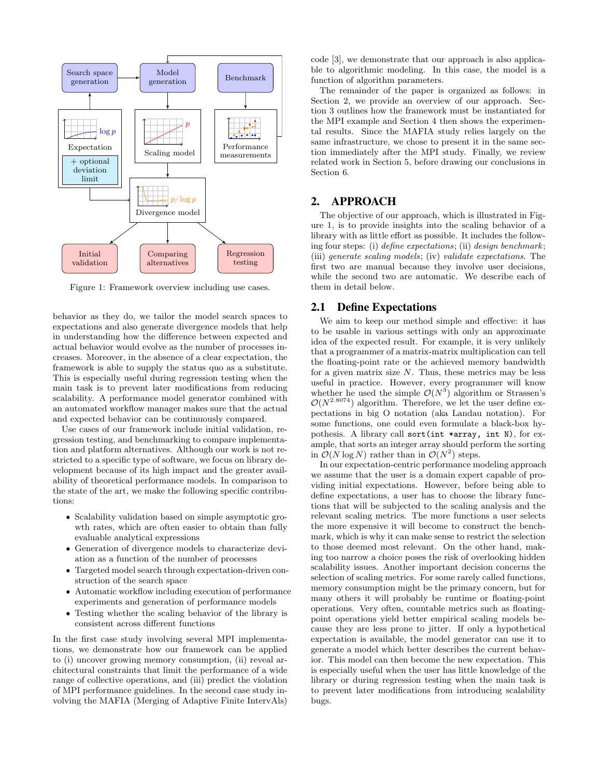

Figure 1: Framework overview including use cases.

behavior as they do, we tailor the model search spaces to expectations and also generate divergence models that help in understanding how the difference between expected and actual behavior would evolve as the number of processes increases. Moreover, in the absence of a clear expectation, the framework is able to supply the status quo as a substitute. This is especially useful during regression testing when the main task is to prevent later modifications from reducing scalability. A performance model generator combined with an automated workflow manager makes sure that the actual and expected behavior can be continuously compared.

Use cases of our framework include initial validation, regression testing, and benchmarking to compare implementation and platform alternatives. Although our work is not restricted to a specific type of software, we focus on library development because of its high impact and the greater availability of theoretical performance models. In comparison to the state of the art, we make the following specific contributions:

- ' Scalability validation based on simple asymptotic growth rates, which are often easier to obtain than fully evaluable analytical expressions
- ' Generation of divergence models to characterize deviation as a function of the number of processes
- ' Targeted model search through expectation-driven construction of the search space
- ' Automatic workflow including execution of performance experiments and generation of performance models
- ' Testing whether the scaling behavior of the library is consistent across different functions

In the first case study involving several MPI implementations, we demonstrate how our framework can be applied to (i) uncover growing memory consumption, (ii) reveal architectural constraints that limit the performance of a wide range of collective operations, and (iii) predict the violation of MPI performance guidelines. In the second case study involving the MAFIA (Merging of Adaptive Finite IntervAls)

code [3], we demonstrate that our approach is also applicable to algorithmic modeling. In this case, the model is a function of algorithm parameters.

The remainder of the paper is organized as follows: in Section 2, we provide an overview of our approach. Section 3 outlines how the framework must be instantiated for the MPI example and Section 4 then shows the experimental results. Since the MAFIA study relies largely on the same infrastructure, we chose to present it in the same section immediately after the MPI study. Finally, we review related work in Section 5, before drawing our conclusions in Section 6.

## 2. APPROACH

The objective of our approach, which is illustrated in Figure 1, is to provide insights into the scaling behavior of a library with as little effort as possible. It includes the following four steps: (i) define expectations; (ii) design benchmark; (iii) generate scaling models; (iv) validate expectations. The first two are manual because they involve user decisions, while the second two are automatic. We describe each of them in detail below.

## 2.1 Define Expectations

We aim to keep our method simple and effective: it has to be usable in various settings with only an approximate idea of the expected result. For example, it is very unlikely that a programmer of a matrix-matrix multiplication can tell the floating-point rate or the achieved memory bandwidth for a given matrix size  $N$ . Thus, these metrics may be less useful in practice. However, every programmer will know whether he used the simple  $\mathcal{O}(N^3)$  algorithm or Strassen's  $\mathcal{O}(N^{2.8074})$  algorithm. Therefore, we let the user define expectations in big O notation (aka Landau notation). For some functions, one could even formulate a black-box hypothesis. A library call sort(int \*array, int N), for example, that sorts an integer array should perform the sorting in  $\mathcal{O}(N \log N)$  rather than in  $\mathcal{O}(N^2)$  steps.

In our expectation-centric performance modeling approach we assume that the user is a domain expert capable of providing initial expectations. However, before being able to define expectations, a user has to choose the library functions that will be subjected to the scaling analysis and the relevant scaling metrics. The more functions a user selects the more expensive it will become to construct the benchmark, which is why it can make sense to restrict the selection to those deemed most relevant. On the other hand, making too narrow a choice poses the risk of overlooking hidden scalability issues. Another important decision concerns the selection of scaling metrics. For some rarely called functions, memory consumption might be the primary concern, but for many others it will probably be runtime or floating-point operations. Very often, countable metrics such as floatingpoint operations yield better empirical scaling models because they are less prone to jitter. If only a hypothetical expectation is available, the model generator can use it to generate a model which better describes the current behavior. This model can then become the new expectation. This is especially useful when the user has little knowledge of the library or during regression testing when the main task is to prevent later modifications from introducing scalability bugs.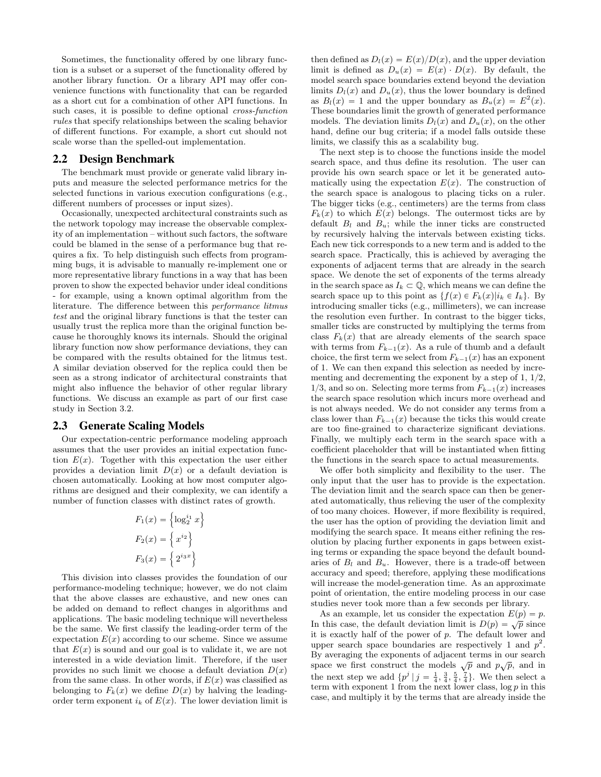Sometimes, the functionality offered by one library function is a subset or a superset of the functionality offered by another library function. Or a library API may offer convenience functions with functionality that can be regarded as a short cut for a combination of other API functions. In such cases, it is possible to define optional *cross-function* rules that specify relationships between the scaling behavior of different functions. For example, a short cut should not scale worse than the spelled-out implementation.

#### 2.2 Design Benchmark

The benchmark must provide or generate valid library inputs and measure the selected performance metrics for the selected functions in various execution configurations (e.g., different numbers of processes or input sizes).

Occasionally, unexpected architectural constraints such as the network topology may increase the observable complexity of an implementation – without such factors, the software could be blamed in the sense of a performance bug that requires a fix. To help distinguish such effects from programming bugs, it is advisable to manually re-implement one or more representative library functions in a way that has been proven to show the expected behavior under ideal conditions - for example, using a known optimal algorithm from the literature. The difference between this performance litmus test and the original library functions is that the tester can usually trust the replica more than the original function because he thoroughly knows its internals. Should the original library function now show performance deviations, they can be compared with the results obtained for the litmus test. A similar deviation observed for the replica could then be seen as a strong indicator of architectural constraints that might also influence the behavior of other regular library functions. We discuss an example as part of our first case study in Section 3.2.

## 2.3 Generate Scaling Models

Our expectation-centric performance modeling approach assumes that the user provides an initial expectation function  $E(x)$ . Together with this expectation the user either provides a deviation limit  $D(x)$  or a default deviation is chosen automatically. Looking at how most computer algorithms are designed and their complexity, we can identify a number of function classes with distinct rates of growth.

$$
F_1(x) = \left\{ \log_2^{i_1} x \right\}
$$

$$
F_2(x) = \left\{ x^{i_2} \right\}
$$

$$
F_3(x) = \left\{ 2^{i_3 x} \right\}
$$

This division into classes provides the foundation of our performance-modeling technique; however, we do not claim that the above classes are exhaustive, and new ones can be added on demand to reflect changes in algorithms and applications. The basic modeling technique will nevertheless be the same. We first classify the leading-order term of the expectation  $E(x)$  according to our scheme. Since we assume that  $E(x)$  is sound and our goal is to validate it, we are not interested in a wide deviation limit. Therefore, if the user provides no such limit we choose a default deviation  $D(x)$ from the same class. In other words, if  $E(x)$  was classified as belonging to  $F_k(x)$  we define  $D(x)$  by halving the leadingorder term exponent  $i_k$  of  $E(x)$ . The lower deviation limit is then defined as  $D_l(x) = E(x)/D(x)$ , and the upper deviation limit is defined as  $D_u(x) = E(x) \cdot D(x)$ . By default, the model search space boundaries extend beyond the deviation limits  $D_l(x)$  and  $D_u(x)$ , thus the lower boundary is defined as  $B_l(x) = 1$  and the upper boundary as  $B_u(x) = E^2(x)$ . These boundaries limit the growth of generated performance models. The deviation limits  $D_l(x)$  and  $D_u(x)$ , on the other hand, define our bug criteria; if a model falls outside these limits, we classify this as a scalability bug.

The next step is to choose the functions inside the model search space, and thus define its resolution. The user can provide his own search space or let it be generated automatically using the expectation  $E(x)$ . The construction of the search space is analogous to placing ticks on a ruler. The bigger ticks (e.g., centimeters) are the terms from class  $F_k(x)$  to which  $E(x)$  belongs. The outermost ticks are by default  $B_l$  and  $B_u$ ; while the inner ticks are constructed by recursively halving the intervals between existing ticks. Each new tick corresponds to a new term and is added to the search space. Practically, this is achieved by averaging the exponents of adjacent terms that are already in the search space. We denote the set of exponents of the terms already in the search space as  $I_k \subset \mathbb{Q}$ , which means we can define the search space up to this point as  $\{f(x) \in F_k(x)|i_k \in I_k\}$ . By introducing smaller ticks (e.g., millimeters), we can increase the resolution even further. In contrast to the bigger ticks, smaller ticks are constructed by multiplying the terms from class  $F_k(x)$  that are already elements of the search space with terms from  $F_{k-1}(x)$ . As a rule of thumb and a default choice, the first term we select from  $F_{k-1}(x)$  has an exponent of 1. We can then expand this selection as needed by incrementing and decrementing the exponent by a step of 1,  $1/2$ ,  $1/3$ , and so on. Selecting more terms from  $F_{k-1}(x)$  increases the search space resolution which incurs more overhead and is not always needed. We do not consider any terms from a class lower than  $F_{k-1}(x)$  because the ticks this would create are too fine-grained to characterize significant deviations. Finally, we multiply each term in the search space with a coefficient placeholder that will be instantiated when fitting the functions in the search space to actual measurements.

We offer both simplicity and flexibility to the user. The only input that the user has to provide is the expectation. The deviation limit and the search space can then be generated automatically, thus relieving the user of the complexity of too many choices. However, if more flexibility is required, the user has the option of providing the deviation limit and modifying the search space. It means either refining the resolution by placing further exponents in gaps between existing terms or expanding the space beyond the default boundaries of  $B_l$  and  $B_u$ . However, there is a trade-off between accuracy and speed; therefore, applying these modifications will increase the model-generation time. As an approximate point of orientation, the entire modeling process in our case studies never took more than a few seconds per library.

As an example, let us consider the expectation  $E(p) = p$ . In this case, the default deviation limit is  $D(p) = \sqrt{p}$  since it is exactly half of the power of p. The default lower and upper search space boundaries are respectively 1 and  $p^2$ . By averaging the exponents of adjacent terms in our search By averaging the exponents of adjacent terms in our search<br>space we first construct the models  $\sqrt{p}$  and  $p\sqrt{p}$ , and in the next step we add  $\{p^j \mid j = \frac{1}{4}, \frac{3}{4}, \frac{5}{4}, \frac{7}{4}\}.$  We then select a term with exponent 1 from the next lower class,  $\log p$  in this case, and multiply it by the terms that are already inside the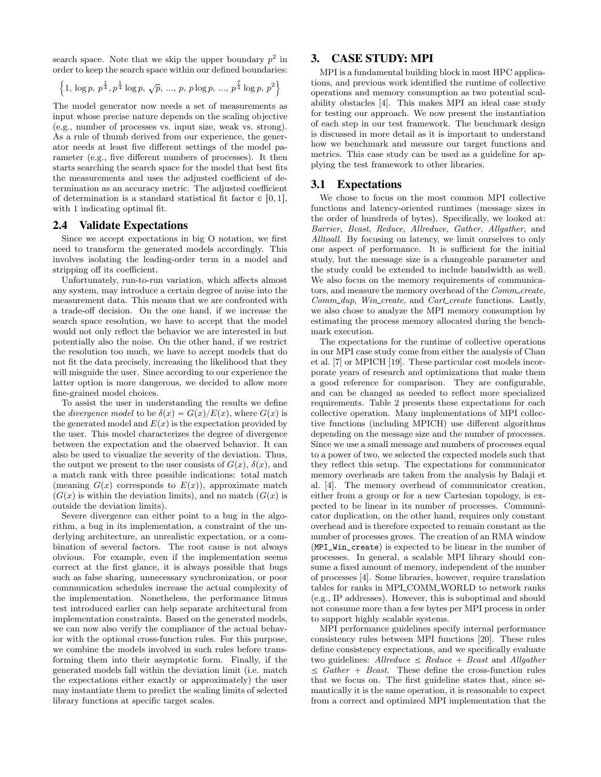search space. Note that we skip the upper boundary  $p^2$  in order to keep the search space within our defined boundaries:

$$
\left\{1, \, \log p, \, p^{\frac{1}{4}}, p^{\frac{1}{4}} \log p, \, \sqrt{p}, \, ..., \, p, \, p \log p, \, ..., \, p^{\frac{7}{4}} \log p, \, p^2\right\}
$$

The model generator now needs a set of measurements as input whose precise nature depends on the scaling objective (e.g., number of processes vs. input size, weak vs. strong). As a rule of thumb derived from our experience, the generator needs at least five different settings of the model parameter (e.g., five different numbers of processes). It then starts searching the search space for the model that best fits the measurements and uses the adjusted coefficient of determination as an accuracy metric. The adjusted coefficient of determination is a standard statistical fit factor  $\in [0, 1],$ with 1 indicating optimal fit.

#### 2.4 Validate Expectations

Since we accept expectations in big O notation, we first need to transform the generated models accordingly. This involves isolating the leading-order term in a model and stripping off its coefficient.

Unfortunately, run-to-run variation, which affects almost any system, may introduce a certain degree of noise into the measurement data. This means that we are confronted with a trade-off decision. On the one hand, if we increase the search space resolution, we have to accept that the model would not only reflect the behavior we are interested in but potentially also the noise. On the other hand, if we restrict the resolution too much, we have to accept models that do not fit the data precisely, increasing the likelihood that they will misguide the user. Since according to our experience the latter option is more dangerous, we decided to allow more fine-grained model choices.

To assist the user in understanding the results we define the *divergence model* to be  $\delta(x) = G(x)/E(x)$ , where  $G(x)$  is the generated model and  $E(x)$  is the expectation provided by the user. This model characterizes the degree of divergence between the expectation and the observed behavior. It can also be used to visualize the severity of the deviation. Thus, the output we present to the user consists of  $G(x)$ ,  $\delta(x)$ , and a match rank with three possible indications: total match (meaning  $G(x)$  corresponds to  $E(x)$ ), approximate match  $(G(x))$  is within the deviation limits), and no match  $(G(x))$  is outside the deviation limits).

Severe divergence can either point to a bug in the algorithm, a bug in its implementation, a constraint of the underlying architecture, an unrealistic expectation, or a combination of several factors. The root cause is not always obvious. For example, even if the implementation seems correct at the first glance, it is always possible that bugs such as false sharing, unnecessary synchronization, or poor communication schedules increase the actual complexity of the implementation. Nonetheless, the performance litmus test introduced earlier can help separate architectural from implementation constraints. Based on the generated models, we can now also verify the compliance of the actual behavior with the optional cross-function rules. For this purpose, we combine the models involved in such rules before transforming them into their asymptotic form. Finally, if the generated models fall within the deviation limit (i.e. match the expectations either exactly or approximately) the user may instantiate them to predict the scaling limits of selected library functions at specific target scales.

## 3. CASE STUDY: MPI

MPI is a fundamental building block in most HPC applications, and previous work identified the runtime of collective operations and memory consumption as two potential scalability obstacles [4]. This makes MPI an ideal case study for testing our approach. We now present the instantiation of each step in our test framework. The benchmark design is discussed in more detail as it is important to understand how we benchmark and measure our target functions and metrics. This case study can be used as a guideline for applying the test framework to other libraries.

#### 3.1 Expectations

We chose to focus on the most common MPI collective functions and latency-oriented runtimes (message sizes in the order of hundreds of bytes). Specifically, we looked at: Barrier, Bcast, Reduce, Allreduce, Gather, Allgather, and Alltoall. By focusing on latency, we limit ourselves to only one aspect of performance. It is sufficient for the initial study, but the message size is a changeable parameter and the study could be extended to include bandwidth as well. We also focus on the memory requirements of communicators, and measure the memory overhead of the Comm\_create, Comm\_dup, Win\_create, and Cart\_create functions. Lastly, we also chose to analyze the MPI memory consumption by estimating the process memory allocated during the benchmark execution.

The expectations for the runtime of collective operations in our MPI case study come from either the analysis of Chan et al. [7] or MPICH [19]. These particular cost models incorporate years of research and optimizations that make them a good reference for comparison. They are configurable, and can be changed as needed to reflect more specialized requirements. Table 2 presents these expectations for each collective operation. Many implementations of MPI collective functions (including MPICH) use different algorithms depending on the message size and the number of processes. Since we use a small message and numbers of processes equal to a power of two, we selected the expected models such that they reflect this setup. The expectations for communicator memory overheads are taken from the analysis by Balaji et al. [4]. The memory overhead of communicator creation, either from a group or for a new Cartesian topology, is expected to be linear in its number of processes. Communicator duplication, on the other hand, requires only constant overhead and is therefore expected to remain constant as the number of processes grows. The creation of an RMA window (MPI\_Win\_create) is expected to be linear in the number of processes. In general, a scalable MPI library should consume a fixed amount of memory, independent of the number of processes [4]. Some libraries, however, require translation tables for ranks in MPI\_COMM\_WORLD to network ranks (e.g., IP addresses). However, this is suboptimal and should not consume more than a few bytes per MPI process in order to support highly scalable systems.

MPI performance guidelines specify internal performance consistency rules between MPI functions [20]. These rules define consistency expectations, and we specifically evaluate two guidelines: Allreduce  $\leq$  Reduce + Bcast and Allgather  $\leq$  *Gather* + *Bcast.* These define the cross-function rules that we focus on. The first guideline states that, since semantically it is the same operation, it is reasonable to expect from a correct and optimized MPI implementation that the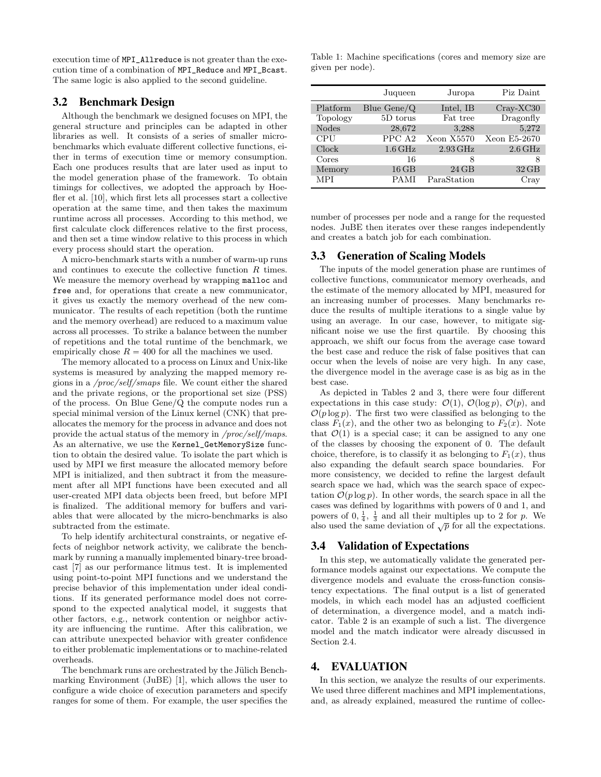execution time of MPI\_Allreduce is not greater than the execution time of a combination of MPI\_Reduce and MPI\_Bcast. The same logic is also applied to the second guideline.

## 3.2 Benchmark Design

Although the benchmark we designed focuses on MPI, the general structure and principles can be adapted in other libraries as well. It consists of a series of smaller microbenchmarks which evaluate different collective functions, either in terms of execution time or memory consumption. Each one produces results that are later used as input to the model generation phase of the framework. To obtain timings for collectives, we adopted the approach by Hoefler et al. [10], which first lets all processes start a collective operation at the same time, and then takes the maximum runtime across all processes. According to this method, we first calculate clock differences relative to the first process, and then set a time window relative to this process in which every process should start the operation.

A micro-benchmark starts with a number of warm-up runs and continues to execute the collective function R times. We measure the memory overhead by wrapping malloc and free and, for operations that create a new communicator, it gives us exactly the memory overhead of the new communicator. The results of each repetition (both the runtime and the memory overhead) are reduced to a maximum value across all processes. To strike a balance between the number of repetitions and the total runtime of the benchmark, we empirically chose  $R = 400$  for all the machines we used.

The memory allocated to a process on Linux and Unix-like systems is measured by analyzing the mapped memory regions in a /proc/self/smaps file. We count either the shared and the private regions, or the proportional set size (PSS) of the process. On Blue Gene/Q the compute nodes run a special minimal version of the Linux kernel (CNK) that preallocates the memory for the process in advance and does not provide the actual status of the memory in /proc/self/maps. As an alternative, we use the Kernel\_GetMemorySize function to obtain the desired value. To isolate the part which is used by MPI we first measure the allocated memory before MPI is initialized, and then subtract it from the measurement after all MPI functions have been executed and all user-created MPI data objects been freed, but before MPI is finalized. The additional memory for buffers and variables that were allocated by the micro-benchmarks is also subtracted from the estimate.

To help identify architectural constraints, or negative effects of neighbor network activity, we calibrate the benchmark by running a manually implemented binary-tree broadcast [7] as our performance litmus test. It is implemented using point-to-point MPI functions and we understand the precise behavior of this implementation under ideal conditions. If its generated performance model does not correspond to the expected analytical model, it suggests that other factors, e.g., network contention or neighbor activity are influencing the runtime. After this calibration, we can attribute unexpected behavior with greater confidence to either problematic implementations or to machine-related overheads.

The benchmark runs are orchestrated by the Jülich Benchmarking Environment (JuBE) [1], which allows the user to configure a wide choice of execution parameters and specify ranges for some of them. For example, the user specifies the

Table 1: Machine specifications (cores and memory size are given per node).

|              | Juqueen             | Juropa      | Piz Daint           |
|--------------|---------------------|-------------|---------------------|
| Platform     | Blue $Gene/Q$       | Intel, IB   | $Cray-XC30$         |
| Topology     | 5D torus            | Fat tree    | Dragonfly           |
| <b>Nodes</b> | 28,672              | 3,288       | 5,272               |
| CPU          | PPC A <sub>2</sub>  | Xeon X5570  | Xeon E5-2670        |
| Clock        | $1.6\,\mathrm{GHz}$ | $2.93$ GHz  | $2.6\,\mathrm{GHz}$ |
| Cores        | 16                  | 8           | 8                   |
| Memory       | $16$ GB             | $24$ GB     | $32$ GB             |
| <b>MPI</b>   | <b>PAMI</b>         | ParaStation | C <sub>ray</sub>    |

number of processes per node and a range for the requested nodes. JuBE then iterates over these ranges independently and creates a batch job for each combination.

#### 3.3 Generation of Scaling Models

The inputs of the model generation phase are runtimes of collective functions, communicator memory overheads, and the estimate of the memory allocated by MPI, measured for an increasing number of processes. Many benchmarks reduce the results of multiple iterations to a single value by using an average. In our case, however, to mitigate significant noise we use the first quartile. By choosing this approach, we shift our focus from the average case toward the best case and reduce the risk of false positives that can occur when the levels of noise are very high. In any case, the divergence model in the average case is as big as in the best case.

As depicted in Tables 2 and 3, there were four different expectations in this case study:  $\mathcal{O}(1)$ ,  $\mathcal{O}(\log p)$ ,  $\mathcal{O}(p)$ , and  $\mathcal{O}(p \log p)$ . The first two were classified as belonging to the class  $F_1(x)$ , and the other two as belonging to  $F_2(x)$ . Note that  $\mathcal{O}(1)$  is a special case; it can be assigned to any one of the classes by choosing the exponent of 0. The default choice, therefore, is to classify it as belonging to  $F_1(x)$ , thus also expanding the default search space boundaries. For more consistency, we decided to refine the largest default search space we had, which was the search space of expectation  $\mathcal{O}(p \log p)$ . In other words, the search space in all the cases was defined by logarithms with powers of 0 and 1, and powers of  $0, \frac{1}{4}, \frac{1}{3}$  and all their multiples up to 2 for p. We also used the same deviation of  $\sqrt{p}$  for all the expectations.

## 3.4 Validation of Expectations

In this step, we automatically validate the generated performance models against our expectations. We compute the divergence models and evaluate the cross-function consistency expectations. The final output is a list of generated models, in which each model has an adjusted coefficient of determination, a divergence model, and a match indicator. Table 2 is an example of such a list. The divergence model and the match indicator were already discussed in Section 2.4.

## 4. EVALUATION

In this section, we analyze the results of our experiments. We used three different machines and MPI implementations, and, as already explained, measured the runtime of collec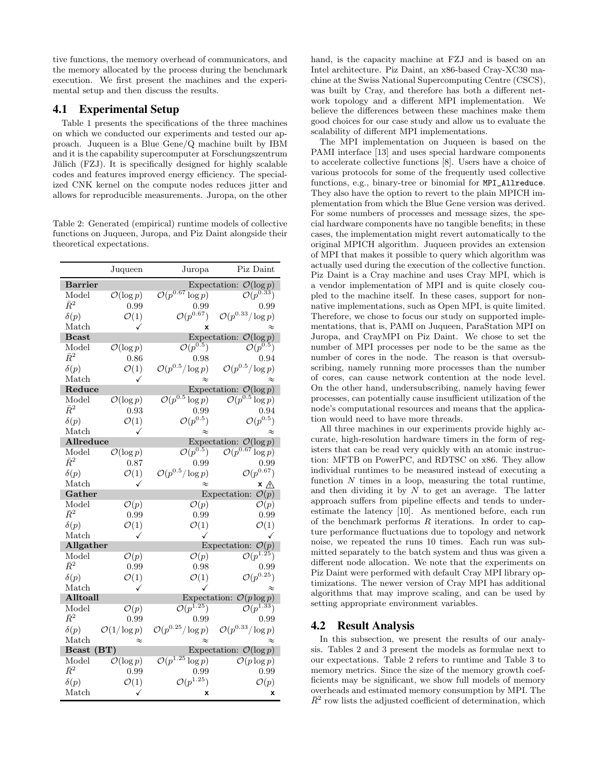tive functions, the memory overhead of communicators, and the memory allocated by the process during the benchmark execution. We first present the machines and the experimental setup and then discuss the results.

#### 4.1 Experimental Setup

Table 1 presents the specifications of the three machines on which we conducted our experiments and tested our approach. Juqueen is a Blue Gene/Q machine built by IBM and it is the capability supercomputer at Forschungszentrum Julich (FZJ). It is specifically designed for highly scalable codes and features improved energy efficiency. The specialized CNK kernel on the compute nodes reduces jitter and allows for reproducible measurements. Juropa, on the other

Table 2: Generated (empirical) runtime models of collective functions on Juqueen, Juropa, and Piz Daint alongside their theoretical expectations.

|                      | Juqueen                            | Juropa                             | Piz Daint                                                           |  |  |
|----------------------|------------------------------------|------------------------------------|---------------------------------------------------------------------|--|--|
| <b>Barrier</b>       | Expectation: $\mathcal{O}(\log p)$ |                                    |                                                                     |  |  |
| Model                | $\mathcal{O}(\log p)$              | $\mathcal{O}(p^{0.67}\log p)$      | $\overline{\mathcal{O}(p^{0.33})}$                                  |  |  |
| $\bar{R}^2$          | 0.99                               | 0.99                               | 0.99                                                                |  |  |
| $\delta(p)$          | $\mathcal{O}(1)$                   | $O(p^{0.67})$                      | $\mathcal{O}(p^{0.33}/\log p)$                                      |  |  |
| Match                |                                    | X                                  |                                                                     |  |  |
| <b>B</b> cast        |                                    |                                    | Expectation: $\mathcal{O}(\log p)$                                  |  |  |
| Model                | $\mathcal{O}(\log p)$              | $\overline{\mathcal{O}(p^{0.5})}$  | $\mathcal{O}(p^{0.5})$                                              |  |  |
| $\bar{R}^2$          | 0.86                               | 0.98                               | 0.94                                                                |  |  |
| $\delta(p)$          | $\mathcal{O}(1)$                   | $\mathcal{O}(p^{0.5}/\log p)$      | $\mathcal{O}(p^{0.5}/\log p)$                                       |  |  |
| Match                | ✓                                  |                                    | $\approx$                                                           |  |  |
| Reduce               |                                    |                                    | Expectation: $\mathcal{O}(\log p)$                                  |  |  |
| Model                | $\mathcal{O}(\log p)$              | $\mathcal{O}(p^{0.5}\log p)$       | $\mathcal{O}(p^{0.5}\log p)$                                        |  |  |
| $\bar{R}^2$          | 0.93                               | 0.99                               | 0.94                                                                |  |  |
| $\delta(p)$          | $\mathcal{O}(1)$                   | $\mathcal{O}(p^{0.5})$             | $\mathcal{O}(p^{0.5})$                                              |  |  |
| Match                |                                    | $\approx$                          |                                                                     |  |  |
| Allreduce            |                                    | Expectation: $\mathcal{O}(\log p)$ |                                                                     |  |  |
| Model                | $\mathcal{O}(\log p)$              | $\overline{\mathcal{O}(p^{0.5})}$  | $\mathcal{O}(p^{0.67}\log p)$                                       |  |  |
| $\bar{R}^2$          | 0.87                               | 0.99                               | 0.99                                                                |  |  |
| $\delta(p)$          | $\mathcal{O}(1)$                   | $\mathcal{O}(p^{0.5}/\log p)$      | $\mathcal{O}(p^{0.67})$                                             |  |  |
| Match                | ✓                                  | $\approx$                          | x ∧                                                                 |  |  |
| Gather               |                                    |                                    | Expectation: $\mathcal{O}(p)$                                       |  |  |
| Model                | $\mathcal{O}(p)$                   | $\mathcal{O}(p)$                   | $\mathcal{O}(p)$                                                    |  |  |
| $\bar{R}^2$          | 0.99                               | 0.99                               | 0.99                                                                |  |  |
| $\delta(p)$          | $\mathcal{O}(1)$                   | $\mathcal{O}(1)$                   | $\mathcal{O}(1)$                                                    |  |  |
| Match                | ✓                                  | ✓                                  | ✓                                                                   |  |  |
| Allgather            |                                    |                                    | Expectation: $\mathcal{O}(p)$<br>$\overline{\mathcal{O}(p^{1.25})}$ |  |  |
| Model<br>$\bar{R}^2$ | $\mathcal{O}(p)$                   | $\mathcal{O}(p)$                   |                                                                     |  |  |
|                      | 0.99                               | 0.98                               | 0.99<br>$\mathcal{O}(p^{0.25})$                                     |  |  |
| $\delta(p)$<br>Match | $\mathcal{O}(1)$<br>✓              | $\mathcal{O}(1)$                   |                                                                     |  |  |
| Alltoall             |                                    | Expectation:                       | $\mathcal{O}(p \log p)$                                             |  |  |
| Model                | $\overline{\mathcal{O}}(p)$        | $\mathcal{O}(p^{1.25})$            | $\overline{\mathcal{O}(p^{1.33})}$                                  |  |  |
| $\bar{R}^2$          | 0.99                               | 0.99                               | 0.99                                                                |  |  |
| $\delta(p)$          | $\mathcal{O}(1/\log p)$            | $\mathcal{O}(p^{0.25}/\log p)$     | $\mathcal{O}(p^{0.33}/\log p)$                                      |  |  |
| Match                | $\approx$                          | $\approx$                          | $\approx$                                                           |  |  |
| Bcast (BT)           |                                    |                                    | Expectation: $\mathcal{O}(\log p)$                                  |  |  |
| Model                | $\overline{\mathcal{O}(\log p)}$   | $\mathcal{O}(p^{1.25}\log p)$      | $\overline{\mathcal{O}}(p \log p)$                                  |  |  |
| $\bar{R}^2$          | 0.99                               | 0.99                               | 0.99                                                                |  |  |
| $\delta(p)$          | $\mathcal{O}(1)$                   | $\mathcal{O}(p^{1.25})$            | $\mathcal{O}(p)$                                                    |  |  |
| Match                | ✓                                  | x                                  | X                                                                   |  |  |

hand, is the capacity machine at FZJ and is based on an Intel architecture. Piz Daint, an x86-based Cray-XC30 machine at the Swiss National Supercomputing Centre (CSCS), was built by Cray, and therefore has both a different network topology and a different MPI implementation. We believe the differences between these machines make them good choices for our case study and allow us to evaluate the scalability of different MPI implementations.

The MPI implementation on Juqueen is based on the PAMI interface [13] and uses special hardware components to accelerate collective functions [8]. Users have a choice of various protocols for some of the frequently used collective functions, e.g., binary-tree or binomial for MPI\_Allreduce. They also have the option to revert to the plain MPICH implementation from which the Blue Gene version was derived. For some numbers of processes and message sizes, the special hardware components have no tangible benefits; in these cases, the implementation might revert automatically to the original MPICH algorithm. Juqueen provides an extension of MPI that makes it possible to query which algorithm was actually used during the execution of the collective function. Piz Daint is a Cray machine and uses Cray MPI, which is a vendor implementation of MPI and is quite closely coupled to the machine itself. In these cases, support for nonnative implementations, such as Open MPI, is quite limited. Therefore, we chose to focus our study on supported implementations, that is, PAMI on Juqueen, ParaStation MPI on Juropa, and CrayMPI on Piz Daint. We chose to set the number of MPI processes per node to be the same as the number of cores in the node. The reason is that oversubscribing, namely running more processes than the number of cores, can cause network contention at the node level. On the other hand, undersubscribing, namely having fewer processes, can potentially cause insufficient utilization of the node's computational resources and means that the application would need to have more threads.

All three machines in our experiments provide highly accurate, high-resolution hardware timers in the form of registers that can be read very quickly with an atomic instruction: MFTB on PowerPC, and RDTSC on x86. They allow individual runtimes to be measured instead of executing a function  $N$  times in a loop, measuring the total runtime, and then dividing it by  $N$  to get an average. The latter approach suffers from pipeline effects and tends to underestimate the latency [10]. As mentioned before, each run of the benchmark performs  $R$  iterations. In order to capture performance fluctuations due to topology and network noise, we repeated the runs 10 times. Each run was submitted separately to the batch system and thus was given a different node allocation. We note that the experiments on Piz Daint were performed with default Cray MPI library optimizations. The newer version of Cray MPI has additional algorithms that may improve scaling, and can be used by setting appropriate environment variables.

## 4.2 Result Analysis

In this subsection, we present the results of our analysis. Tables 2 and 3 present the models as formulae next to our expectations. Table 2 refers to runtime and Table 3 to memory metrics. Since the size of the memory growth coefficients may be significant, we show full models of memory overheads and estimated memory consumption by MPI. The  $\bar{R}^2$  row lists the adjusted coefficient of determination, which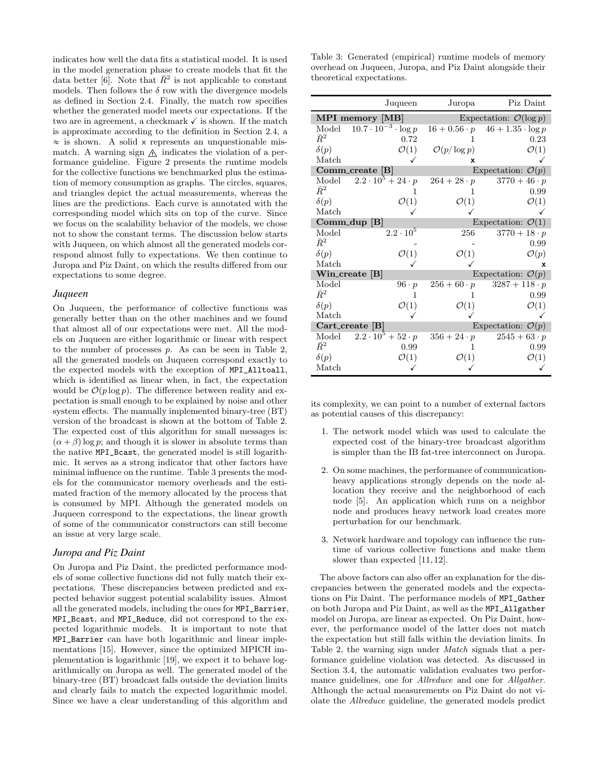indicates how well the data fits a statistical model. It is used in the model generation phase to create models that fit the data better [6]. Note that  $\bar{R}^2$  is not applicable to constant models. Then follows the  $\delta$  row with the divergence models as defined in Section 2.4. Finally, the match row specifies whether the generated model meets our expectations. If the two are in agreement, a checkmark  $\checkmark$  is shown. If the match is approximate according to the definition in Section 2.4, a  $\approx$  is shown. A solid x represents an unquestionable mismatch. A warning sign  $\Lambda$  indicates the violation of a performance guideline. Figure 2 presents the runtime models for the collective functions we benchmarked plus the estimation of memory consumption as graphs. The circles, squares, and triangles depict the actual measurements, whereas the lines are the predictions. Each curve is annotated with the corresponding model which sits on top of the curve. Since we focus on the scalability behavior of the models, we chose not to show the constant terms. The discussion below starts with Juqueen, on which almost all the generated models correspond almost fully to expectations. We then continue to Juropa and Piz Daint, on which the results differed from our expectations to some degree.

#### *Juqueen*

On Juqueen, the performance of collective functions was generally better than on the other machines and we found that almost all of our expectations were met. All the models on Juqueen are either logarithmic or linear with respect to the number of processes  $p$ . As can be seen in Table 2, all the generated models on Juqueen correspond exactly to the expected models with the exception of MPI\_Alltoall, which is identified as linear when, in fact, the expectation would be  $\mathcal{O}(p \log p)$ . The difference between reality and expectation is small enough to be explained by noise and other system effects. The manually implemented binary-tree (BT) version of the broadcast is shown at the bottom of Table 2. The expected cost of this algorithm for small messages is:  $(\alpha + \beta)$  log p; and though it is slower in absolute terms than the native MPI\_Bcast, the generated model is still logarithmic. It serves as a strong indicator that other factors have minimal influence on the runtime. Table 3 presents the models for the communicator memory overheads and the estimated fraction of the memory allocated by the process that is consumed by MPI. Although the generated models on Juqueen correspond to the expectations, the linear growth of some of the communicator constructors can still become an issue at very large scale.

#### *Juropa and Piz Daint*

On Juropa and Piz Daint, the predicted performance models of some collective functions did not fully match their expectations. These discrepancies between predicted and expected behavior suggest potential scalability issues. Almost all the generated models, including the ones for MPI\_Barrier, MPI\_Bcast, and MPI\_Reduce, did not correspond to the expected logarithmic models. It is important to note that MPI\_Barrier can have both logarithmic and linear implementations [15]. However, since the optimized MPICH implementation is logarithmic [19], we expect it to behave logarithmically on Juropa as well. The generated model of the binary-tree (BT) broadcast falls outside the deviation limits and clearly fails to match the expected logarithmic model. Since we have a clear understanding of this algorithm and

Table 3: Generated (empirical) runtime models of memory overhead on Juqueen, Juropa, and Piz Daint alongside their theoretical expectations.

|                 | Juqueen                           | Juropa                             | Piz Daint                                        |  |
|-----------------|-----------------------------------|------------------------------------|--------------------------------------------------|--|
| MPI memory [MB] |                                   | Expectation: $\mathcal{O}(\log p)$ |                                                  |  |
| Model No        | $10.7 \cdot 10^{-3} \cdot \log p$ |                                    | $16 + 0.56 \cdot p \quad 46 + 1.35 \cdot \log p$ |  |
| $\bar{R}^2$     | 0.72                              |                                    | 0.23                                             |  |
| $\delta(p)$     | $\mathcal{O}(1)$                  | $\mathcal{O}(p/\log p)$            | $\mathcal{O}(1)$                                 |  |
| Match           |                                   | x                                  |                                                  |  |
|                 | Comm_create [B]                   | Expectation: $\mathcal{O}(p)$      |                                                  |  |
| Model           | $2.2 \cdot 10^5 + 24 \cdot p$     | $264 + 28 \cdot p$                 | $3770 + 46 \cdot p$                              |  |
| $\bar{R}^2$     |                                   | 1                                  | 0.99                                             |  |
| $\delta(p)$     | $\mathcal{O}(1)$                  | $\mathcal{O}(1)$                   | $\mathcal{O}(1)$                                 |  |
| Match           |                                   |                                    |                                                  |  |
| $Comm\_dup$ [B] |                                   | Expectation: $\mathcal{O}(1)$      |                                                  |  |
| Model           | $2.2 \cdot 10^5$                  | 256                                | $3770 + 18 \cdot p$                              |  |
| $\bar{R}^2$     |                                   |                                    | 0.99                                             |  |
| $\delta(p)$     | $\mathcal{O}(1)$                  | $\mathcal{O}(1)$                   | $\mathcal{O}(p)$                                 |  |
| Match           |                                   |                                    | x                                                |  |
| Win_create [B]  |                                   | Expectation: $\mathcal{O}(p)$      |                                                  |  |
| Model           | $96 \cdot p$                      |                                    | $256 + 60 \cdot p$ $3287 + 118 \cdot p$          |  |
| $\bar{R}^2$     |                                   |                                    | 0.99                                             |  |
| $\delta(p)$     | $\mathcal{O}(1)$                  | $\mathcal{O}(1)$                   | $\mathcal{O}(1)$                                 |  |
| Match           |                                   |                                    |                                                  |  |
| Cart_create [B] |                                   | Expectation: $\mathcal{O}(p)$      |                                                  |  |
| Model           | $2.2\cdot 10^5 + 52\cdot p$       | $356 + 24 \cdot p$                 | $2545 + 63 \cdot p$                              |  |
| $\bar{R}^2$     | 0.99                              |                                    | 0.99                                             |  |
| $\delta(p)$     | $\mathcal{O}(1)$                  | $\mathcal{O}(1)$                   | $\mathcal{O}(1)$                                 |  |
| Match           |                                   |                                    |                                                  |  |

its complexity, we can point to a number of external factors as potential causes of this discrepancy:

- 1. The network model which was used to calculate the expected cost of the binary-tree broadcast algorithm is simpler than the IB fat-tree interconnect on Juropa.
- 2. On some machines, the performance of communicationheavy applications strongly depends on the node allocation they receive and the neighborhood of each node [5]. An application which runs on a neighbor node and produces heavy network load creates more perturbation for our benchmark.
- 3. Network hardware and topology can influence the runtime of various collective functions and make them slower than expected [11, 12].

The above factors can also offer an explanation for the discrepancies between the generated models and the expectations on Piz Daint. The performance models of MPI\_Gather on both Juropa and Piz Daint, as well as the MPI\_Allgather model on Juropa, are linear as expected. On Piz Daint, however, the performance model of the latter does not match the expectation but still falls within the deviation limits. In Table 2, the warning sign under Match signals that a performance guideline violation was detected. As discussed in Section 3.4, the automatic validation evaluates two performance guidelines, one for Allreduce and one for Allgather. Although the actual measurements on Piz Daint do not violate the Allreduce guideline, the generated models predict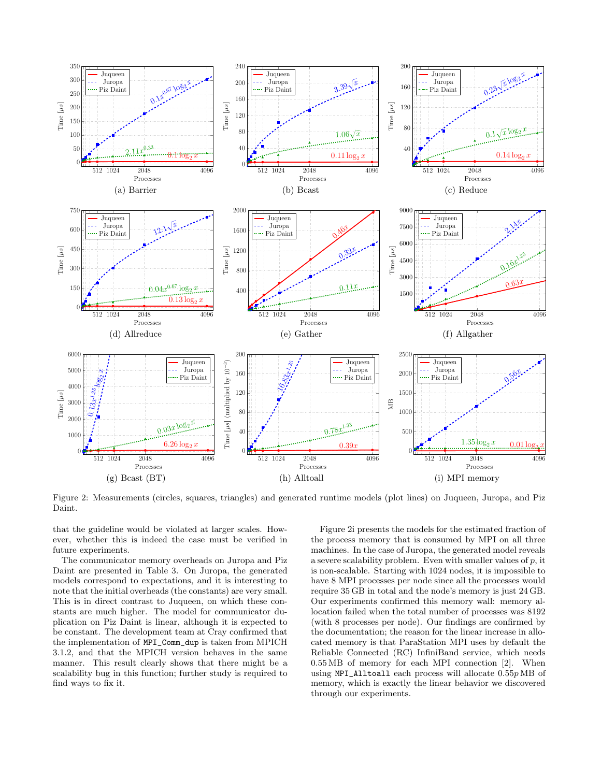

Figure 2: Measurements (circles, squares, triangles) and generated runtime models (plot lines) on Juqueen, Juropa, and Piz Daint.

that the guideline would be violated at larger scales. However, whether this is indeed the case must be verified in future experiments.

The communicator memory overheads on Juropa and Piz Daint are presented in Table 3. On Juropa, the generated models correspond to expectations, and it is interesting to note that the initial overheads (the constants) are very small. This is in direct contrast to Juqueen, on which these constants are much higher. The model for communicator duplication on Piz Daint is linear, although it is expected to be constant. The development team at Cray confirmed that the implementation of MPI\_Comm\_dup is taken from MPICH 3.1.2, and that the MPICH version behaves in the same manner. This result clearly shows that there might be a scalability bug in this function; further study is required to find ways to fix it.

Figure 2i presents the models for the estimated fraction of the process memory that is consumed by MPI on all three machines. In the case of Juropa, the generated model reveals a severe scalability problem. Even with smaller values of  $p$ , it is non-scalable. Starting with 1024 nodes, it is impossible to have 8 MPI processes per node since all the processes would require 35 GB in total and the node's memory is just 24 GB. Our experiments confirmed this memory wall: memory allocation failed when the total number of processes was 8192 (with 8 processes per node). Our findings are confirmed by the documentation; the reason for the linear increase in allocated memory is that ParaStation MPI uses by default the Reliable Connected (RC) InfiniBand service, which needs 0.55 MB of memory for each MPI connection [2]. When using MPI\_Alltoall each process will allocate 0.55p MB of memory, which is exactly the linear behavior we discovered through our experiments.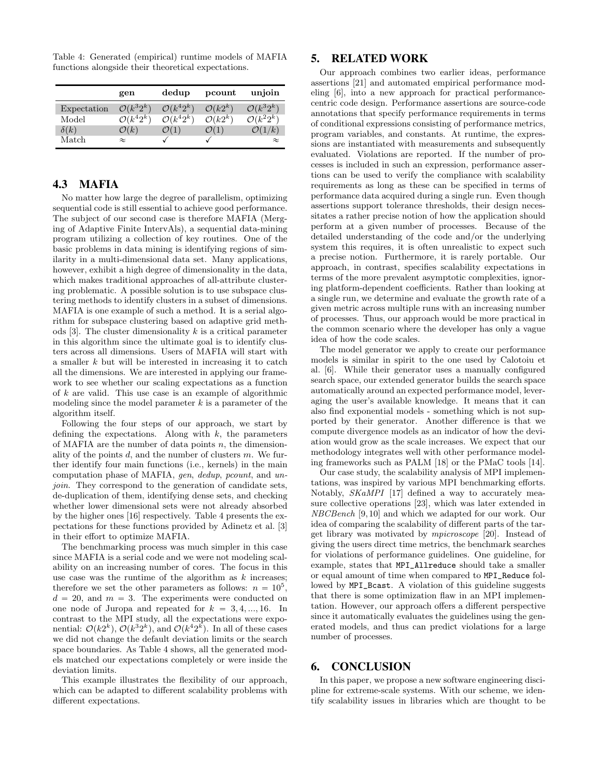Table 4: Generated (empirical) runtime models of MAFIA functions alongside their theoretical expectations.

|             | gen                    | dedup                  | pcount              | unjoin                 |
|-------------|------------------------|------------------------|---------------------|------------------------|
| Expectation | $\mathcal{O}(k^3 2^k)$ | $\mathcal{O}(k^4 2^k)$ | $\mathcal{O}(k2^k)$ | $\mathcal{O}(k^3 2^k)$ |
| Model       | $\mathcal{O}(k^4 2^k)$ | $\mathcal{O}(k^4 2^k)$ | $\mathcal{O}(k2^k)$ | $\mathcal{O}(k^2 2^k)$ |
| $\delta(k)$ | $\mathcal{O}(k)$       | $\mathcal{O}(1)$       | $\mathcal{O}(1)$    | $\mathcal{O}(1/k)$     |
| Match       | $\approx$              |                        |                     | $\approx$              |

# 4.3 MAFIA

No matter how large the degree of parallelism, optimizing sequential code is still essential to achieve good performance. The subject of our second case is therefore MAFIA (Merging of Adaptive Finite IntervAls), a sequential data-mining program utilizing a collection of key routines. One of the basic problems in data mining is identifying regions of similarity in a multi-dimensional data set. Many applications, however, exhibit a high degree of dimensionality in the data, which makes traditional approaches of all-attribute clustering problematic. A possible solution is to use subspace clustering methods to identify clusters in a subset of dimensions. MAFIA is one example of such a method. It is a serial algorithm for subspace clustering based on adaptive grid methods [3]. The cluster dimensionality  $k$  is a critical parameter in this algorithm since the ultimate goal is to identify clusters across all dimensions. Users of MAFIA will start with a smaller  $k$  but will be interested in increasing it to catch all the dimensions. We are interested in applying our framework to see whether our scaling expectations as a function of  $k$  are valid. This use case is an example of algorithmic modeling since the model parameter  $k$  is a parameter of the algorithm itself.

Following the four steps of our approach, we start by defining the expectations. Along with  $k$ , the parameters of MAFIA are the number of data points  $n$ , the dimensionality of the points  $d$ , and the number of clusters  $m$ . We further identify four main functions (i.e., kernels) in the main computation phase of MAFIA, gen, dedup, pcount, and unjoin. They correspond to the generation of candidate sets, de-duplication of them, identifying dense sets, and checking whether lower dimensional sets were not already absorbed by the higher ones [16] respectively. Table 4 presents the expectations for these functions provided by Adinetz et al. [3] in their effort to optimize MAFIA.

The benchmarking process was much simpler in this case since MAFIA is a serial code and we were not modeling scalability on an increasing number of cores. The focus in this use case was the runtime of the algorithm as  $k$  increases; therefore we set the other parameters as follows:  $n = 10^5$ ,  $d = 20$ , and  $m = 3$ . The experiments were conducted on one node of Juropa and repeated for  $k = 3, 4, ..., 16$ . In contrast to the MPI study, all the expectations were exponential:  $\mathcal{O}(k2^k)$ ,  $\mathcal{O}(k^32^k)$ , and  $\mathcal{O}(k^42^k)$ . In all of these cases we did not change the default deviation limits or the search space boundaries. As Table 4 shows, all the generated models matched our expectations completely or were inside the deviation limits.

This example illustrates the flexibility of our approach, which can be adapted to different scalability problems with different expectations.

## 5. RELATED WORK

Our approach combines two earlier ideas, performance assertions [21] and automated empirical performance modeling [6], into a new approach for practical performancecentric code design. Performance assertions are source-code annotations that specify performance requirements in terms of conditional expressions consisting of performance metrics, program variables, and constants. At runtime, the expressions are instantiated with measurements and subsequently evaluated. Violations are reported. If the number of processes is included in such an expression, performance assertions can be used to verify the compliance with scalability requirements as long as these can be specified in terms of performance data acquired during a single run. Even though assertions support tolerance thresholds, their design necessitates a rather precise notion of how the application should perform at a given number of processes. Because of the detailed understanding of the code and/or the underlying system this requires, it is often unrealistic to expect such a precise notion. Furthermore, it is rarely portable. Our approach, in contrast, specifies scalability expectations in terms of the more prevalent asymptotic complexities, ignoring platform-dependent coefficients. Rather than looking at a single run, we determine and evaluate the growth rate of a given metric across multiple runs with an increasing number of processes. Thus, our approach would be more practical in the common scenario where the developer has only a vague idea of how the code scales.

The model generator we apply to create our performance models is similar in spirit to the one used by Calotoiu et al. [6]. While their generator uses a manually configured search space, our extended generator builds the search space automatically around an expected performance model, leveraging the user's available knowledge. It means that it can also find exponential models - something which is not supported by their generator. Another difference is that we compute divergence models as an indicator of how the deviation would grow as the scale increases. We expect that our methodology integrates well with other performance modeling frameworks such as PALM [18] or the PMaC tools [14].

Our case study, the scalability analysis of MPI implementations, was inspired by various MPI benchmarking efforts. Notably, SKaMPI [17] defined a way to accurately measure collective operations [23], which was later extended in NBCBench [9, 10] and which we adapted for our work. Our idea of comparing the scalability of different parts of the target library was motivated by mpicroscope [20]. Instead of giving the users direct time metrics, the benchmark searches for violations of performance guidelines. One guideline, for example, states that MPI\_Allreduce should take a smaller or equal amount of time when compared to MPI\_Reduce followed by MPI\_Bcast. A violation of this guideline suggests that there is some optimization flaw in an MPI implementation. However, our approach offers a different perspective since it automatically evaluates the guidelines using the generated models, and thus can predict violations for a large number of processes.

## 6. CONCLUSION

In this paper, we propose a new software engineering discipline for extreme-scale systems. With our scheme, we identify scalability issues in libraries which are thought to be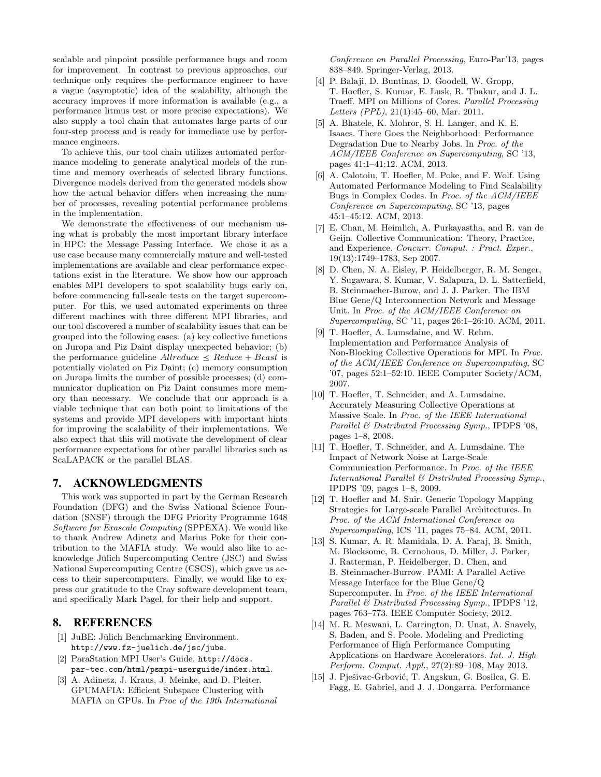scalable and pinpoint possible performance bugs and room for improvement. In contrast to previous approaches, our technique only requires the performance engineer to have a vague (asymptotic) idea of the scalability, although the accuracy improves if more information is available (e.g., a performance litmus test or more precise expectations). We also supply a tool chain that automates large parts of our four-step process and is ready for immediate use by performance engineers.

To achieve this, our tool chain utilizes automated performance modeling to generate analytical models of the runtime and memory overheads of selected library functions. Divergence models derived from the generated models show how the actual behavior differs when increasing the number of processes, revealing potential performance problems in the implementation.

We demonstrate the effectiveness of our mechanism using what is probably the most important library interface in HPC: the Message Passing Interface. We chose it as a use case because many commercially mature and well-tested implementations are available and clear performance expectations exist in the literature. We show how our approach enables MPI developers to spot scalability bugs early on, before commencing full-scale tests on the target supercomputer. For this, we used automated experiments on three different machines with three different MPI libraries, and our tool discovered a number of scalability issues that can be grouped into the following cases: (a) key collective functions on Juropa and Piz Daint display unexpected behavior; (b) the performance guideline Allreduce  $\leq$  Reduce + Bcast is potentially violated on Piz Daint; (c) memory consumption on Juropa limits the number of possible processes; (d) communicator duplication on Piz Daint consumes more memory than necessary. We conclude that our approach is a viable technique that can both point to limitations of the systems and provide MPI developers with important hints for improving the scalability of their implementations. We also expect that this will motivate the development of clear performance expectations for other parallel libraries such as ScaLAPACK or the parallel BLAS.

## 7. ACKNOWLEDGMENTS

This work was supported in part by the German Research Foundation (DFG) and the Swiss National Science Foundation (SNSF) through the DFG Priority Programme 1648 Software for Exascale Computing (SPPEXA). We would like to thank Andrew Adinetz and Marius Poke for their contribution to the MAFIA study. We would also like to acknowledge Julich Supercomputing Centre (JSC) and Swiss National Supercomputing Centre (CSCS), which gave us access to their supercomputers. Finally, we would like to express our gratitude to the Cray software development team, and specifically Mark Pagel, for their help and support.

#### 8. REFERENCES

- [1] JuBE: Jülich Benchmarking Environment. http://www.fz-juelich.de/jsc/jube.
- [2] ParaStation MPI User's Guide. http://docs. par-tec.com/html/psmpi-userguide/index.html.
- [3] A. Adinetz, J. Kraus, J. Meinke, and D. Pleiter. GPUMAFIA: Efficient Subspace Clustering with MAFIA on GPUs. In Proc of the 19th International

Conference on Parallel Processing, Euro-Par'13, pages 838–849. Springer-Verlag, 2013.

- [4] P. Balaji, D. Buntinas, D. Goodell, W. Gropp, T. Hoefler, S. Kumar, E. Lusk, R. Thakur, and J. L. Traeff. MPI on Millions of Cores. Parallel Processing Letters (PPL), 21(1):45–60, Mar. 2011.
- [5] A. Bhatele, K. Mohror, S. H. Langer, and K. E. Isaacs. There Goes the Neighborhood: Performance Degradation Due to Nearby Jobs. In Proc. of the ACM/IEEE Conference on Supercomputing, SC '13, pages 41:1–41:12. ACM, 2013.
- [6] A. Calotoiu, T. Hoefler, M. Poke, and F. Wolf. Using Automated Performance Modeling to Find Scalability Bugs in Complex Codes. In Proc. of the ACM/IEEE Conference on Supercomputing, SC '13, pages 45:1–45:12. ACM, 2013.
- [7] E. Chan, M. Heimlich, A. Purkayastha, and R. van de Geijn. Collective Communication: Theory, Practice, and Experience. Concurr. Comput. : Pract. Exper., 19(13):1749–1783, Sep 2007.
- [8] D. Chen, N. A. Eisley, P. Heidelberger, R. M. Senger, Y. Sugawara, S. Kumar, V. Salapura, D. L. Satterfield, B. Steinmacher-Burow, and J. J. Parker. The IBM Blue Gene/Q Interconnection Network and Message Unit. In Proc. of the ACM/IEEE Conference on Supercomputing, SC '11, pages 26:1–26:10. ACM, 2011.
- [9] T. Hoefler, A. Lumsdaine, and W. Rehm. Implementation and Performance Analysis of Non-Blocking Collective Operations for MPI. In Proc. of the ACM/IEEE Conference on Supercomputing, SC '07, pages 52:1–52:10. IEEE Computer Society/ACM, 2007.
- [10] T. Hoefler, T. Schneider, and A. Lumsdaine. Accurately Measuring Collective Operations at Massive Scale. In Proc. of the IEEE International Parallel & Distributed Processing Symp., IPDPS '08, pages 1–8, 2008.
- [11] T. Hoefler, T. Schneider, and A. Lumsdaine. The Impact of Network Noise at Large-Scale Communication Performance. In Proc. of the IEEE International Parallel & Distributed Processing Symp., IPDPS '09, pages 1–8, 2009.
- [12] T. Hoefler and M. Snir. Generic Topology Mapping Strategies for Large-scale Parallel Architectures. In Proc. of the ACM International Conference on Supercomputing, ICS '11, pages 75–84. ACM, 2011.
- [13] S. Kumar, A. R. Mamidala, D. A. Faraj, B. Smith, M. Blocksome, B. Cernohous, D. Miller, J. Parker, J. Ratterman, P. Heidelberger, D. Chen, and B. Steinmacher-Burrow. PAMI: A Parallel Active Message Interface for the Blue Gene/Q Supercomputer. In Proc. of the IEEE International Parallel & Distributed Processing Symp., IPDPS '12, pages 763–773. IEEE Computer Society, 2012.
- [14] M. R. Meswani, L. Carrington, D. Unat, A. Snavely, S. Baden, and S. Poole. Modeling and Predicting Performance of High Performance Computing Applications on Hardware Accelerators. Int. J. High Perform. Comput. Appl., 27(2):89–108, May 2013.
- [15] J. Pješivac-Grbović, T. Angskun, G. Bosilca, G. E. Fagg, E. Gabriel, and J. J. Dongarra. Performance